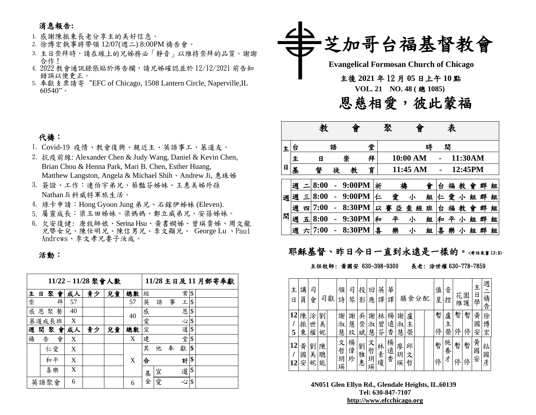## 消息報告**:**

#### 1. 感謝陳振東長老分享主的美好信息。

- 2. 徐博宏執事將帶領 12/07(週二) 8:00PM 禱告會。
- 3. 主日崇拜時,請在線上的兄姊務必「靜音」以維持崇拜的品質。謝謝 合作!
- 4. 2022 教會通訊錄張貼於佈告欄,請兄姊確認並於 12/12/2021 前告知 錯誤以便更正。
- 5. 奉獻支票請寄"EFC of Chicago, 1508 Lantern Circle, Naperville,IL  $60540"$

# 芝加哥台福基督教會  **Evangelical Formosan Church of Chicago** 主後 **2021** 年 12 月 **05** 日上午 **10** 點  **VOL. 21 NO. <sup>48</sup> (** <sup>總</sup> **1085)** 恩慈相愛,彼此蒙福

|   |   |   | 教    |   |        |   |    | 聚      |          | 表 |   |   |         |   |   |   |
|---|---|---|------|---|--------|---|----|--------|----------|---|---|---|---------|---|---|---|
| 主 | 台 |   |      | 語 |        | 堂 |    |        |          | 時 |   | 間 |         |   |   |   |
|   | 主 |   | 日    |   | 崇      | 拜 |    |        | 10:00 AM |   |   |   | 11:30AM |   |   |   |
| 日 | 基 |   | 督    | 徒 | 教      | 育 |    |        | 11:45 AM |   |   |   | 12:45PM |   |   |   |
|   | 週 |   | 8:00 |   | 9:00PM |   | 祈  |        | 禱        | 會 | 슴 | 福 | 教       | 僧 | 群 | 組 |
| 週 | 週 | Ξ | 8:00 |   | 9:00PM |   | r. | 愛      | 小        | 組 | 仁 | 愛 | 小       | 組 | 群 | 組 |
|   | 週 | 四 | 7:00 |   | 8:30PM |   | 以  | 賽<br>亞 | 查<br>經   | 班 | 슴 | 福 | 教       | 會 | 群 | 組 |
| 間 | 週 | 五 | 8:00 |   | 9:30PM |   | 和  | ∓      | 小        | 組 | 和 |   |         | 組 | 群 | 組 |
|   | 週 | 六 | 7:00 |   | 8:30PM |   | 喜  | 樂      | 小        | 組 | 喜 | 樂 | 小       | 組 | 群 | 組 |

### 耶穌基督、昨日今日一直到永遠是一樣的。<希伯來書13:8>

#### 主任牧師: 黃國安 630-398-9300 長老: 涂世權 630-778-7859

| 主<br>日   | 講<br>員      | 司<br>會      |             | 司獻 | 領<br>詩           | 司<br>琴      | 投<br>影      | ロ<br>應           | 英<br>譯      | 華<br>譯      |             |             | 膳食分配 | 值<br>星 | 音<br>控      | 花<br>維 | 園<br>護 | 主<br>日<br>學 | 週<br>禱告     |
|----------|-------------|-------------|-------------|----|------------------|-------------|-------------|------------------|-------------|-------------|-------------|-------------|------|--------|-------------|--------|--------|-------------|-------------|
| 12<br>5  | 陳<br>振<br>東 | 涂<br>世<br>權 | 劉<br>美<br>妮 |    | 謝<br>淑<br>慧      | 謝<br>慧<br>玟 | 吳<br>崇<br>斌 | 謝<br>淑<br>慧      | 林<br>碧<br>芬 | 楊<br>遠<br>香 | 謝<br>淑<br>慧 | 盧<br>主<br>榮 |      | 暫<br>停 | 盧<br>主<br>榮 | 暫<br>停 | 暫<br>停 | 黃<br>國<br>安 | 徐<br>博<br>宏 |
| 12<br>12 | 黃<br>國<br>安 | 劉<br>美<br>妮 | 陳<br>聰<br>能 |    | 文<br>哲<br>玥<br>瑛 | 楊<br>偉<br>珍 | 劉<br>雅<br>惠 | 文<br>哲<br>玥<br>瑛 | 林素瓊         | 楊<br>遠香     | 廖<br>玥<br>瑛 | 邱<br>文<br>哲 |      | 暫<br>停 | 施<br>養<br>ォ | 暫<br>停 | 暫<br>停 | 黃<br>國<br>安 | 粘<br>國彥     |

**4N051 Glen Ellyn Rd., Glendale Heights, IL.60139 Tel: 630-847-7107 [http://www.efcchicago.org](http://www.efcchicago.org/)**

## 代禱:

- 1. Covid-19 疫情、教會復興、親近主、英語事工、慕道友。
- 2. 抗疫前線: Alexander Chen & Judy Wang, Daniel & Kevin Chen, Brian Chou & Henna Park, Mari B. Chen, Esther Huang, Matthew Langston, Angela & Michael Shih、Andrew Ji, 惠珠姊
- 3. 簽證、工作:連伯宇弟兄、蔡豔芬姊妹、王惠美姊外孫 Nathan Ji 科威特軍旅生活。
- 4. 綠卡申請:Hong Gyoon Jung 弟兄、石鎵伊姊妹 (Eleven).
- 5. 屬靈成長:梁玉田姊妹、梁媽媽、鄭立威弟兄、安蓓姊妹。
- 6. 欠安復健: 唐牧師娘、Serina Hsu、黃書嫻姊、曾瑛貴姊、周文龍 兄暨女兒、陳仕明兄、陳信男兄、李文顯兄、 George Lu 、Paul Andrews、李文孝兄妻子汝成。

活動:

|       |      |    |   |    | 11/22-11/28 聚會人數 |    |    |   |   |   | 11/28 主日及11月郵寄奉獻 |                            |  |
|-------|------|----|---|----|------------------|----|----|---|---|---|------------------|----------------------------|--|
| 主     | в    | 聚  | 會 | 成人 | 青少               | 兒童 | 總數 | 經 |   |   | 常                | $\boldsymbol{\mathsf{\$}}$ |  |
| 崇     |      |    | 拜 | 57 |                  |    | 57 | 英 | 語 | 事 | 工                | $\frac{1}{2}$              |  |
| 感     | 恩    | 聚  | 餐 | 40 |                  |    | 40 | 感 |   |   | 恩                | $\frac{1}{2}$              |  |
| 慕道成長班 |      |    |   | X  |                  |    |    | 愛 |   |   | 心                | $\vert \mathsf{S}$         |  |
| 週     | 間    | 聚  | 會 | 成人 | 青少               | 兒童 | 總數 | 宣 |   |   | 道\$              |                            |  |
| 禱     | 告    |    | 會 | X  |                  |    | X  | 建 |   |   | 堂                | \$                         |  |
|       |      | 仁愛 |   | X  |                  |    |    | 其 | 他 | 奉 | 獻                | \$                         |  |
|       |      | 和平 |   | X  |                  |    | X  | 合 |   |   | 計                | \$                         |  |
|       |      | 喜樂 |   | X  |                  |    |    | 基 | 宣 |   | 道                | \$                         |  |
|       | 英語聚會 |    |   | 6  |                  |    | 6  | 金 | 愛 |   | 心                | \$                         |  |